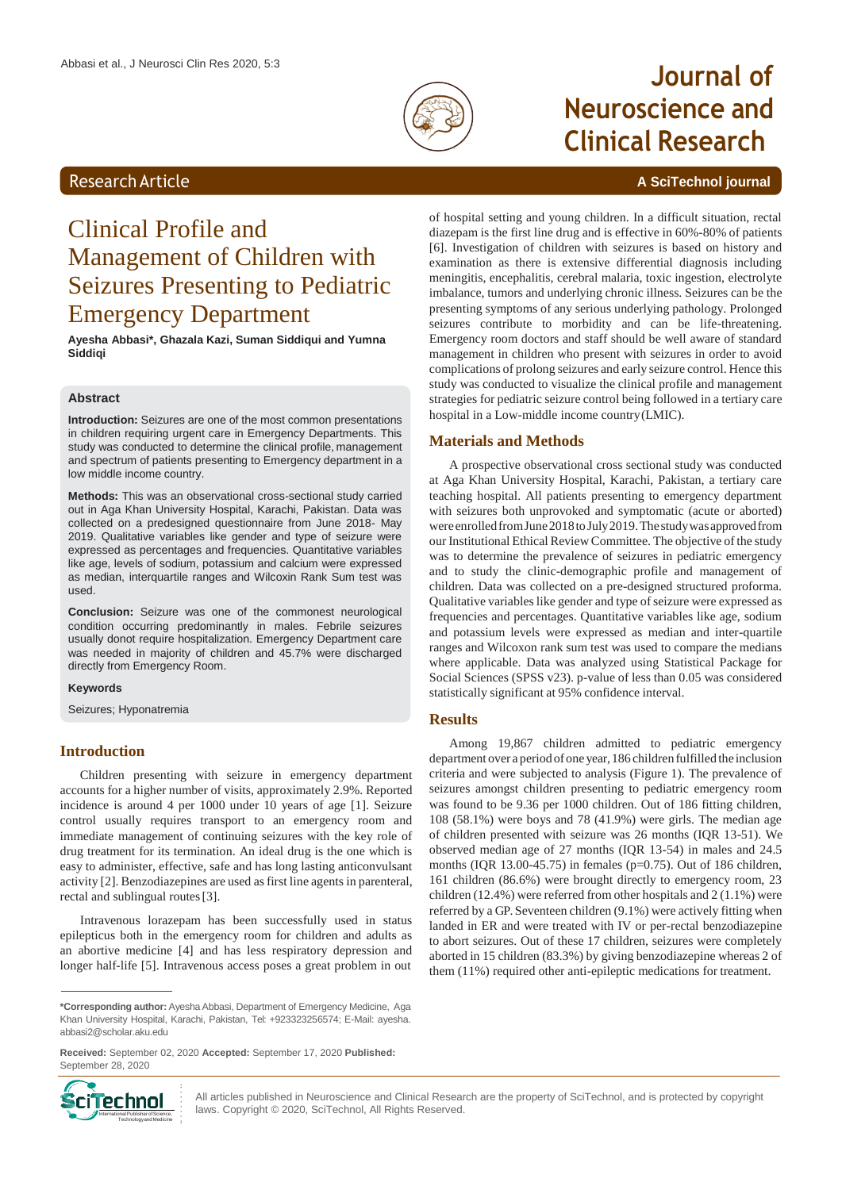

# **Journal of Neuroscience and Clinical Research**

### Research Article **A SciTechnol journal**

## Clinical Profile and Management of Children with Seizures Presenting to Pediatric Emergency Department

**Ayesha Abbasi\*, Ghazala Kazi, Suman Siddiqui and Yumna Siddiqi**

#### **Abstract**

**Introduction:** Seizures are one of the most common presentations in children requiring urgent care in Emergency Departments. This study was conducted to determine the clinical profile, management and spectrum of patients presenting to Emergency department in a low middle income country.

**Methods:** This was an observational cross-sectional study carried out in Aga Khan University Hospital, Karachi, Pakistan. Data was collected on a predesigned questionnaire from June 2018- May 2019. Qualitative variables like gender and type of seizure were expressed as percentages and frequencies. Quantitative variables like age, levels of sodium, potassium and calcium were expressed as median, interquartile ranges and Wilcoxin Rank Sum test was used.

**Conclusion:** Seizure was one of the commonest neurological condition occurring predominantly in males. Febrile seizures usually donot require hospitalization. Emergency Department care was needed in majority of children and 45.7% were discharged directly from Emergency Room.

#### **Keywords**

Seizures; Hyponatremia

#### **Introduction**

Children presenting with seizure in emergency department accounts for a higher number of visits, approximately 2.9%. Reported incidence is around 4 per 1000 under 10 years of age [1]. Seizure control usually requires transport to an emergency room and immediate management of continuing seizures with the key role of drug treatment for its termination. An ideal drug is the one which is easy to administer, effective, safe and has long lasting anticonvulsant activity [2]. Benzodiazepines are used asfirst line agents in parenteral, rectal and sublingual routes[3].

Intravenous lorazepam has been successfully used in status epilepticus both in the emergency room for children and adults as an abortive medicine [4] and has less respiratory depression and longer half-life [5]. Intravenous access poses a great problem in out

**Received:** September 02, 2020 **Accepted:** September 17, 2020 **Published:** September 28, 2020



All articles published in Neuroscience and Clinical Research are the property of SciTechnol, and is protected by copyright laws. Copyright © 2020, SciTechnol, All Rights Reserved.

of hospital setting and young children. In a difficult situation, rectal diazepam is the first line drug and is effective in 60%-80% of patients [6]. Investigation of children with seizures is based on history and examination as there is extensive differential diagnosis including meningitis, encephalitis, cerebral malaria, toxic ingestion, electrolyte imbalance, tumors and underlying chronic illness. Seizures can be the presenting symptoms of any serious underlying pathology. Prolonged seizures contribute to morbidity and can be life-threatening. Emergency room doctors and staff should be well aware of standard management in children who present with seizures in order to avoid complications of prolong seizures and early seizure control. Hence this study was conducted to visualize the clinical profile and management strategies for pediatric seizure control being followed in a tertiary care hospital in a Low-middle income country(LMIC).

#### **Materials and Methods**

A prospective observational cross sectional study was conducted at Aga Khan University Hospital, Karachi, Pakistan, a tertiary care teaching hospital. All patients presenting to emergency department with seizures both unprovoked and symptomatic (acute or aborted) were enrolled from June 2018 to July 2019. The study was approved from our Institutional Ethical Review Committee. The objective of the study was to determine the prevalence of seizures in pediatric emergency and to study the clinic-demographic profile and management of children. Data was collected on a pre-designed structured proforma. Qualitative variables like gender and type of seizure were expressed as frequencies and percentages. Quantitative variables like age, sodium and potassium levels were expressed as median and inter-quartile ranges and Wilcoxon rank sum test was used to compare the medians where applicable. Data was analyzed using Statistical Package for Social Sciences (SPSS v23). p-value of less than 0.05 was considered statistically significant at 95% confidence interval.

#### **Results**

Among 19,867 children admitted to pediatric emergency department over a period ofone year,186 children fulfilled the inclusion criteria and were subjected to analysis (Figure 1). The prevalence of seizures amongst children presenting to pediatric emergency room was found to be 9.36 per 1000 children. Out of 186 fitting children, 108 (58.1%) were boys and 78 (41.9%) were girls. The median age of children presented with seizure was 26 months (IQR 13-51). We observed median age of 27 months (IQR 13-54) in males and 24.5 months (IQR 13.00-45.75) in females (p=0.75). Out of 186 children, 161 children (86.6%) were brought directly to emergency room, 23 children (12.4%) were referred from other hospitals and 2 (1.1%) were referred by a GP.Seventeen children (9.1%) were actively fitting when landed in ER and were treated with IV or per-rectal benzodiazepine to abort seizures. Out of these 17 children, seizures were completely aborted in 15 children (83.3%) by giving benzodiazepine whereas 2 of them (11%) required other anti-epileptic medications for treatment.

**<sup>\*</sup>Corresponding author:** Ayesha Abbasi, Department of Emergency Medicine, Aga Khan University Hospital, Karachi, Pakistan, Tel: +923323256574; E-Mail: ayesha. [abbasi2@scholar.aku.edu](mailto:abbasi2@scholar.aku.edu)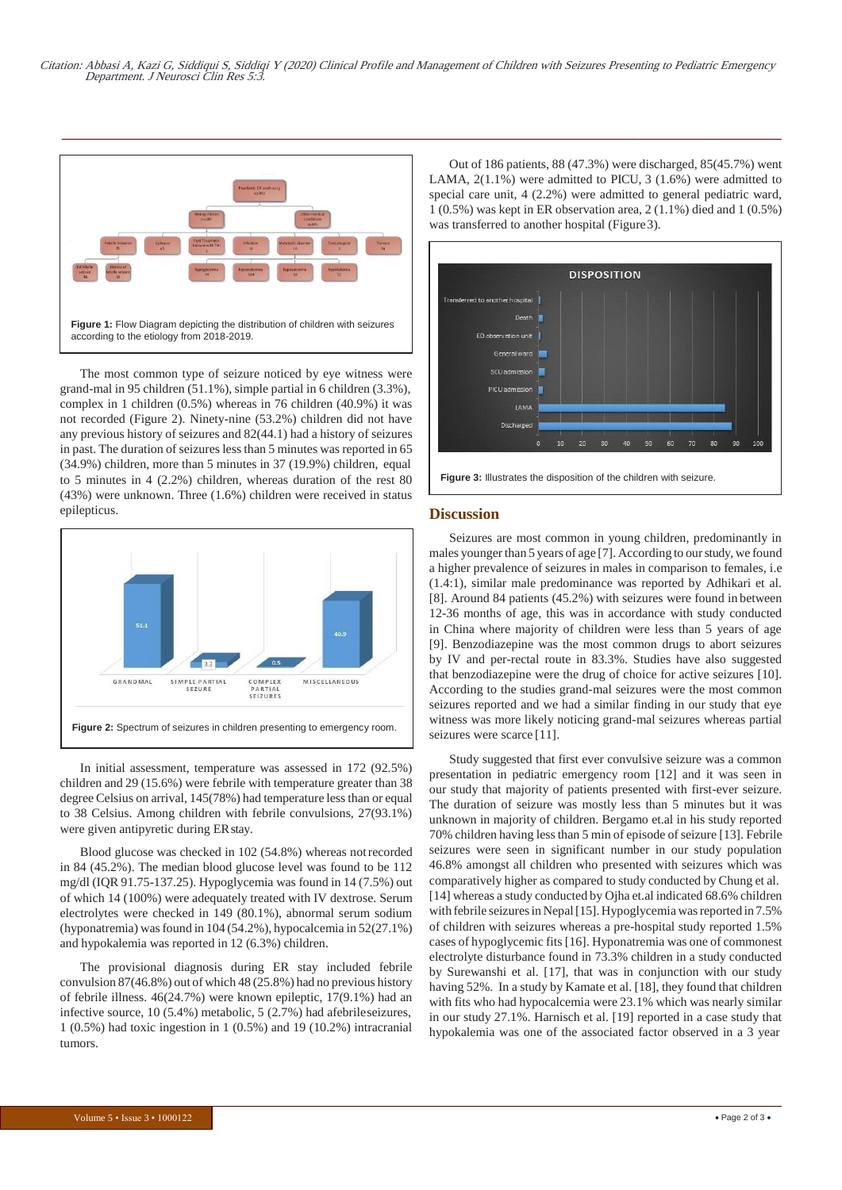

The most common type of seizure noticed by eye witness were grand-mal in 95 children (51.1%), simple partial in 6 children (3.3%), complex in 1 children (0.5%) whereas in 76 children (40.9%) it was not recorded (Figure 2). Ninety-nine (53.2%) children did not have any previous history of seizures and 82(44.1) had a history of seizures in past. The duration of seizures less than 5 minutes was reported in 65 (34.9%) children, more than 5 minutes in 37 (19.9%) children, equal to 5 minutes in 4 (2.2%) children, whereas duration of the rest 80 (43%) were unknown. Three (1.6%) children were received in status epilepticus.



In initial assessment, temperature was assessed in 172 (92.5%) children and 29 (15.6%) were febrile with temperature greater than 38 degree Celsius on arrival, 145(78%) had temperature less than or equal to 38 Celsius. Among children with febrile convulsions, 27(93.1%) were given antipyretic during ERstay.

Blood glucose was checked in 102 (54.8%) whereas notrecorded in 84 (45.2%). The median blood glucose level was found to be 112 mg/dl (IQR 91.75-137.25). Hypoglycemia was found in 14 (7.5%) out of which 14 (100%) were adequately treated with IV dextrose. Serum electrolytes were checked in 149 (80.1%), abnormal serum sodium (hyponatremia) was found in  $104 (54.2\%)$ , hypocalcemia in  $52(27.1\%)$ and hypokalemia was reported in 12 (6.3%) children.

The provisional diagnosis during ER stay included febrile convulsion 87(46.8%) out of which 48 (25.8%) had no previous history of febrile illness. 46(24.7%) were known epileptic, 17(9.1%) had an infective source, 10 (5.4%) metabolic, 5 (2.7%) had afebrileseizures, 1 (0.5%) had toxic ingestion in 1 (0.5%) and 19 (10.2%) intracranial tumors.

Out of 186 patients, 88 (47.3%) were discharged, 85(45.7%) went LAMA, 2(1.1%) were admitted to PICU, 3 (1.6%) were admitted to special care unit, 4 (2.2%) were admitted to general pediatric ward, 1 (0.5%) was kept in ER observation area, 2 (1.1%) died and 1 (0.5%) was transferred to another hospital (Figure3).

*10.37532/jnscr.2020.5(3).122*



**Figure 3:** Illustrates the disposition of the children with seizure.

#### **Discussion**

Seizures are most common in young children, predominantly in males younger than 5 years of age [7]. According to our study, we found a higher prevalence of seizures in males in comparison to females, i.e (1.4:1), similar male predominance was reported by Adhikari et al. [8]. Around 84 patients (45.2%) with seizures were found in between 12-36 months of age, this was in accordance with study conducted in China where majority of children were less than 5 years of age [9]. Benzodiazepine was the most common drugs to abort seizures by IV and per-rectal route in 83.3%. Studies have also suggested that benzodiazepine were the drug of choice for active seizures [10]. According to the studies grand-mal seizures were the most common seizures reported and we had a similar finding in our study that eye witness was more likely noticing grand-mal seizures whereas partial seizures were scarce [11].

Study suggested that first ever convulsive seizure was a common presentation in pediatric emergency room [12] and it was seen in our study that majority of patients presented with first-ever seizure. The duration of seizure was mostly less than 5 minutes but it was unknown in majority of children. Bergamo et.al in his study reported 70% children having less than 5 min of episode of seizure [13]. Febrile seizures were seen in significant number in our study population 46.8% amongst all children who presented with seizures which was comparatively higher as compared to study conducted by Chung et al. [14] whereas a study conducted by Ojha et.al indicated 68.6% children with febrile seizures in Nepal [15]. Hypoglycemia was reported in 7.5% of children with seizures whereas a pre-hospital study reported 1.5% cases of hypoglycemic fits [16]. Hyponatremia was one of commonest electrolyte disturbance found in 73.3% children in a study conducted by Surewanshi et al. [17], that was in conjunction with our study having 52%. In a study by Kamate et al. [18], they found that children with fits who had hypocalcemia were 23.1% which was nearly similar in our study 27.1%. Harnisch et al. [19] reported in a case study that hypokalemia was one of the associated factor observed in a 3 year